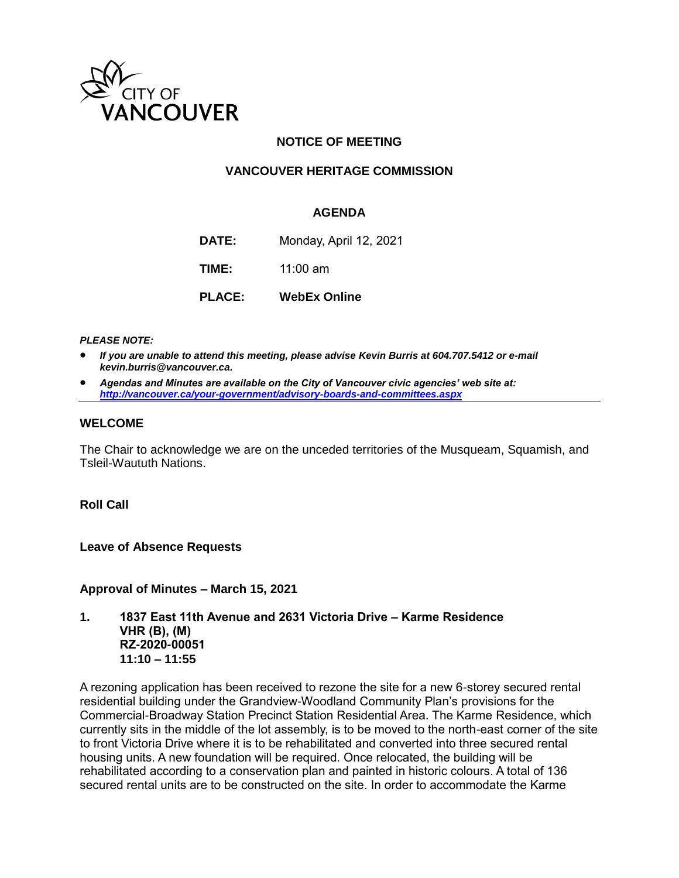

## **NOTICE OF MEETING**

# **VANCOUVER HERITAGE COMMISSION**

#### **AGENDA**

**DATE:** Monday, April 12, 2021

**TIME:** 11:00 am

**PLACE: WebEx Online**

#### *PLEASE NOTE:*

- *If you are unable to attend this meeting, please advise Kevin Burris at 604.707.5412 or e-mail kevin.burris@vancouver.ca.*
- *Agendas and Minutes are available on the City of Vancouver civic agencies' web site at: <http://vancouver.ca/your-government/advisory-boards-and-committees.aspx>*

#### **WELCOME**

The Chair to acknowledge we are on the unceded territories of the Musqueam, Squamish, and Tsleil-Waututh Nations.

#### **Roll Call**

**Leave of Absence Requests** 

**Approval of Minutes – March 15, 2021**

**1. 1837 East 11th Avenue and 2631 Victoria Drive – Karme Residence VHR (B), (M) RZ-2020-00051 11:10 – 11:55**

A rezoning application has been received to rezone the site for a new 6-storey secured rental residential building under the Grandview-Woodland Community Plan's provisions for the Commercial-Broadway Station Precinct Station Residential Area. The Karme Residence, which currently sits in the middle of the lot assembly, is to be moved to the north-east corner of the site to front Victoria Drive where it is to be rehabilitated and converted into three secured rental housing units. A new foundation will be required. Once relocated, the building will be rehabilitated according to a conservation plan and painted in historic colours. A total of 136 secured rental units are to be constructed on the site. In order to accommodate the Karme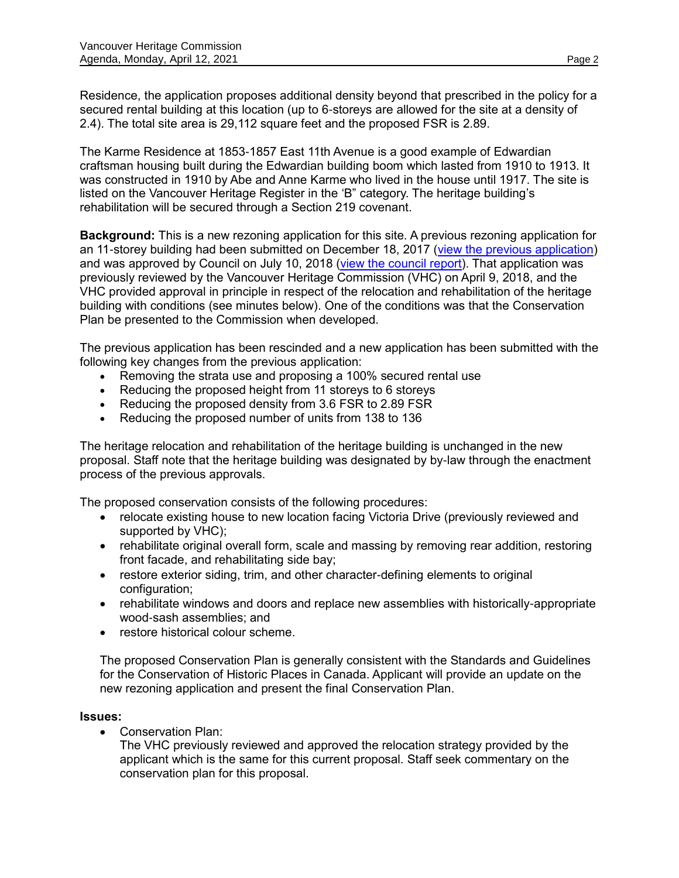Residence, the application proposes additional density beyond that prescribed in the policy for a secured rental building at this location (up to 6-storeys are allowed for the site at a density of 2.4). The total site area is 29,112 square feet and the proposed FSR is 2.89.

The Karme Residence at 1853-1857 East 11th Avenue is a good example of Edwardian craftsman housing built during the Edwardian building boom which lasted from 1910 to 1913. It was constructed in 1910 by Abe and Anne Karme who lived in the house until 1917. The site is listed on the Vancouver Heritage Register in the 'B" category. The heritage building's rehabilitation will be secured through a Section 219 covenant.

**Background:** This is a new rezoning application for this site. A previous rezoning application for an 11-storey building had been submitted on December 18, 2017 [\(view the previous application\)](https://rezoning.vancouver.ca/applications/1837-1849e11th/index.htm) and was approved by Council on July 10, 2018 [\(view the council report\)](https://council.vancouver.ca/20180605/documents/p3.pdf). That application was previously reviewed by the Vancouver Heritage Commission (VHC) on April 9, 2018, and the VHC provided approval in principle in respect of the relocation and rehabilitation of the heritage building with conditions (see minutes below). One of the conditions was that the Conservation Plan be presented to the Commission when developed.

The previous application has been rescinded and a new application has been submitted with the following key changes from the previous application:

- Removing the strata use and proposing a 100% secured rental use
- Reducing the proposed height from 11 storeys to 6 storeys
- Reducing the proposed density from 3.6 FSR to 2.89 FSR
- Reducing the proposed number of units from 138 to 136

The heritage relocation and rehabilitation of the heritage building is unchanged in the new proposal. Staff note that the heritage building was designated by by-law through the enactment process of the previous approvals.

The proposed conservation consists of the following procedures:

- relocate existing house to new location facing Victoria Drive (previously reviewed and supported by VHC);
- rehabilitate original overall form, scale and massing by removing rear addition, restoring front facade, and rehabilitating side bay;
- restore exterior siding, trim, and other character-defining elements to original configuration;
- rehabilitate windows and doors and replace new assemblies with historically-appropriate wood-sash assemblies; and
- restore historical colour scheme.

The proposed Conservation Plan is generally consistent with the Standards and Guidelines for the Conservation of Historic Places in Canada. Applicant will provide an update on the new rezoning application and present the final Conservation Plan.

## **Issues:**

Conservation Plan:

The VHC previously reviewed and approved the relocation strategy provided by the applicant which is the same for this current proposal. Staff seek commentary on the conservation plan for this proposal.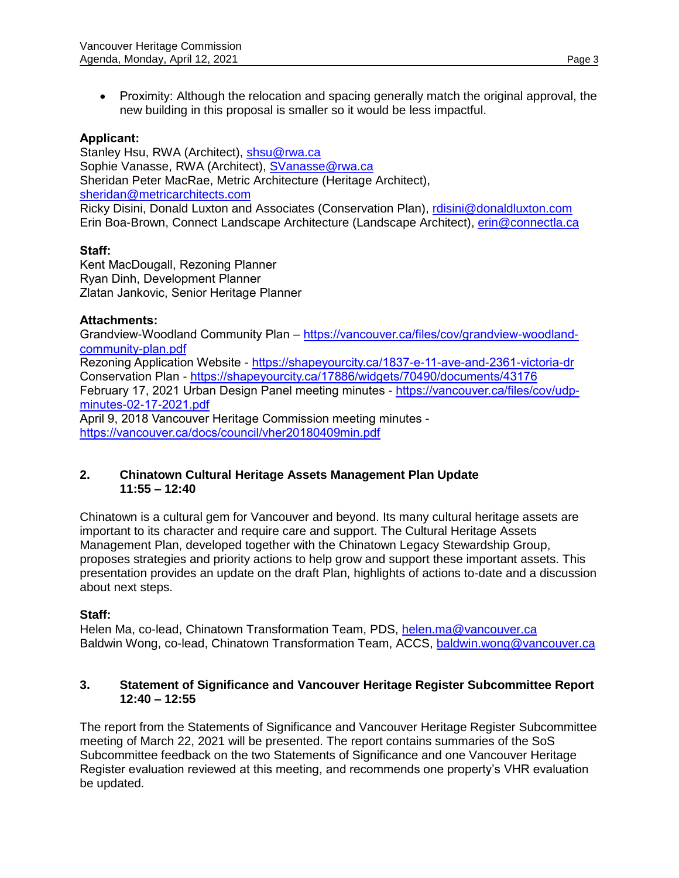Proximity: Although the relocation and spacing generally match the original approval, the new building in this proposal is smaller so it would be less impactful.

## **Applicant:**

Stanley Hsu, RWA (Architect), [shsu@rwa.ca](mailto:shsu@rwa.ca) Sophie Vanasse, RWA (Architect), [SVanasse@rwa.ca](mailto:SVanasse@rwa.ca) Sheridan Peter MacRae, Metric Architecture (Heritage Architect), [sheridan@metricarchitects.com](mailto:sheridan@metricarchitects.com) Ricky Disini, Donald Luxton and Associates (Conservation Plan), [rdisini@donaldluxton.com](mailto:rdisini@donaldluxton.com) Erin Boa-Brown, Connect Landscape Architecture (Landscape Architect), [erin@connectla.ca](mailto:erin@connectla.ca)

## **Staff:**

Kent MacDougall, Rezoning Planner Ryan Dinh, Development Planner Zlatan Jankovic, Senior Heritage Planner

## **Attachments:**

Grandview-Woodland Community Plan – [https://vancouver.ca/files/cov/grandview-woodland](https://vancouver.ca/files/cov/grandview-woodland-community-plan.pdf)[community-plan.pdf](https://vancouver.ca/files/cov/grandview-woodland-community-plan.pdf) Rezoning Application Website - <https://shapeyourcity.ca/1837-e-11-ave-and-2361-victoria-dr> Conservation Plan - <https://shapeyourcity.ca/17886/widgets/70490/documents/43176> February 17, 2021 Urban Design Panel meeting minutes - [https://vancouver.ca/files/cov/udp](https://vancouver.ca/files/cov/udp-minutes-02-17-2021.pdf)[minutes-02-17-2021.pdf](https://vancouver.ca/files/cov/udp-minutes-02-17-2021.pdf) April 9, 2018 Vancouver Heritage Commission meeting minutes <https://vancouver.ca/docs/council/vher20180409min.pdf>

## **2. Chinatown Cultural Heritage Assets Management Plan Update 11:55 – 12:40**

Chinatown is a cultural gem for Vancouver and beyond. Its many cultural heritage assets are important to its character and require care and support. The Cultural Heritage Assets Management Plan, developed together with the Chinatown Legacy Stewardship Group, proposes strategies and priority actions to help grow and support these important assets. This presentation provides an update on the draft Plan, highlights of actions to-date and a discussion about next steps.

## **Staff:**

Helen Ma, co-lead, Chinatown Transformation Team, PDS, [helen.ma@vancouver.ca](mailto:helen.ma@vancouver.ca) Baldwin Wong, co-lead, Chinatown Transformation Team, ACCS, [baldwin.wong@vancouver.ca](mailto:baldwin.wong@vancouver.ca)

## **3. Statement of Significance and Vancouver Heritage Register Subcommittee Report 12:40 – 12:55**

The report from the Statements of Significance and Vancouver Heritage Register Subcommittee meeting of March 22, 2021 will be presented. The report contains summaries of the SoS Subcommittee feedback on the two Statements of Significance and one Vancouver Heritage Register evaluation reviewed at this meeting, and recommends one property's VHR evaluation be updated.